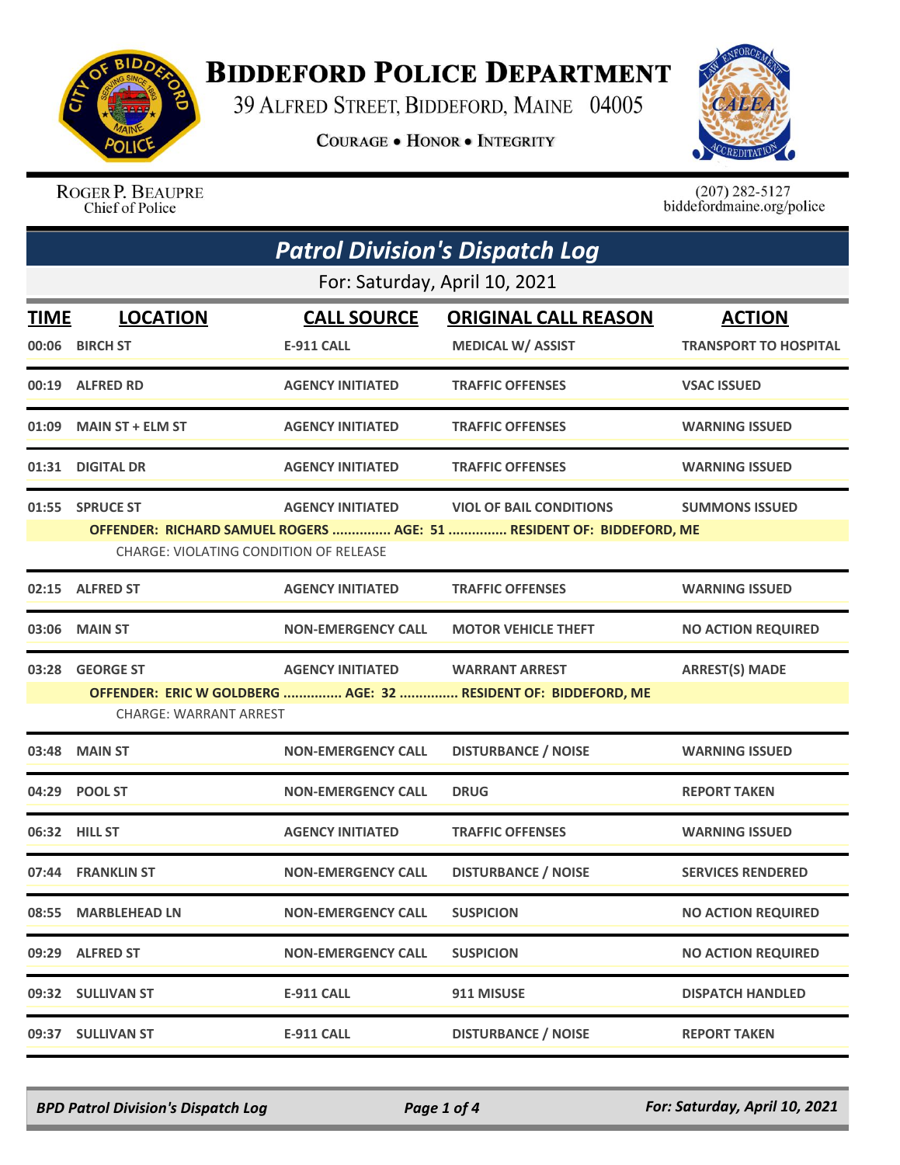

## **BIDDEFORD POLICE DEPARTMENT**

39 ALFRED STREET, BIDDEFORD, MAINE 04005

**COURAGE . HONOR . INTEGRITY** 



ROGER P. BEAUPRE Chief of Police

 $(207)$  282-5127<br>biddefordmaine.org/police

|             | <b>Patrol Division's Dispatch Log</b>                                                                                 |                           |                                                                |                              |  |
|-------------|-----------------------------------------------------------------------------------------------------------------------|---------------------------|----------------------------------------------------------------|------------------------------|--|
|             | For: Saturday, April 10, 2021                                                                                         |                           |                                                                |                              |  |
| <b>TIME</b> | <b>LOCATION</b>                                                                                                       | <b>CALL SOURCE</b>        | <b>ORIGINAL CALL REASON</b>                                    | <b>ACTION</b>                |  |
| 00:06       | <b>BIRCH ST</b>                                                                                                       | <b>E-911 CALL</b>         | <b>MEDICAL W/ ASSIST</b>                                       | <b>TRANSPORT TO HOSPITAL</b> |  |
|             | 00:19 ALFRED RD                                                                                                       | <b>AGENCY INITIATED</b>   | <b>TRAFFIC OFFENSES</b>                                        | <b>VSAC ISSUED</b>           |  |
| 01:09       | <b>MAIN ST + ELM ST</b>                                                                                               | <b>AGENCY INITIATED</b>   | <b>TRAFFIC OFFENSES</b>                                        | <b>WARNING ISSUED</b>        |  |
| 01:31       | <b>DIGITAL DR</b>                                                                                                     | <b>AGENCY INITIATED</b>   | <b>TRAFFIC OFFENSES</b>                                        | <b>WARNING ISSUED</b>        |  |
|             | 01:55 SPRUCE ST                                                                                                       | <b>AGENCY INITIATED</b>   | <b>VIOL OF BAIL CONDITIONS</b>                                 | <b>SUMMONS ISSUED</b>        |  |
|             | OFFENDER: RICHARD SAMUEL ROGERS  AGE: 51  RESIDENT OF: BIDDEFORD, ME<br><b>CHARGE: VIOLATING CONDITION OF RELEASE</b> |                           |                                                                |                              |  |
|             | 02:15 ALFRED ST                                                                                                       | <b>AGENCY INITIATED</b>   | <b>TRAFFIC OFFENSES</b>                                        | <b>WARNING ISSUED</b>        |  |
| 03:06       | <b>MAIN ST</b>                                                                                                        | <b>NON-EMERGENCY CALL</b> | <b>MOTOR VEHICLE THEFT</b>                                     | <b>NO ACTION REQUIRED</b>    |  |
| 03:28       | <b>GEORGE ST</b>                                                                                                      | <b>AGENCY INITIATED</b>   | <b>WARRANT ARREST</b>                                          | <b>ARREST(S) MADE</b>        |  |
|             | <b>CHARGE: WARRANT ARREST</b>                                                                                         |                           | OFFENDER: ERIC W GOLDBERG  AGE: 32  RESIDENT OF: BIDDEFORD, ME |                              |  |
|             |                                                                                                                       |                           |                                                                |                              |  |
| 03:48       | <b>MAIN ST</b>                                                                                                        | <b>NON-EMERGENCY CALL</b> | <b>DISTURBANCE / NOISE</b>                                     | <b>WARNING ISSUED</b>        |  |
|             | 04:29 POOL ST                                                                                                         | <b>NON-EMERGENCY CALL</b> | <b>DRUG</b>                                                    | <b>REPORT TAKEN</b>          |  |
| 06:32       | <b>HILL ST</b>                                                                                                        | <b>AGENCY INITIATED</b>   | <b>TRAFFIC OFFENSES</b>                                        | <b>WARNING ISSUED</b>        |  |
|             | 07:44 FRANKLIN ST                                                                                                     | <b>NON-EMERGENCY CALL</b> | <b>DISTURBANCE / NOISE</b>                                     | <b>SERVICES RENDERED</b>     |  |
| 08:55       | <b>MARBLEHEAD LN</b>                                                                                                  | <b>NON-EMERGENCY CALL</b> | <b>SUSPICION</b>                                               | <b>NO ACTION REQUIRED</b>    |  |
|             | 09:29 ALFRED ST                                                                                                       | <b>NON-EMERGENCY CALL</b> | <b>SUSPICION</b>                                               | <b>NO ACTION REQUIRED</b>    |  |
|             | 09:32 SULLIVAN ST                                                                                                     | <b>E-911 CALL</b>         | 911 MISUSE                                                     | <b>DISPATCH HANDLED</b>      |  |
|             | 09:37 SULLIVAN ST                                                                                                     | E-911 CALL                | <b>DISTURBANCE / NOISE</b>                                     | <b>REPORT TAKEN</b>          |  |

*BPD Patrol Division's Dispatch Log Page 1 of 4 For: Saturday, April 10, 2021*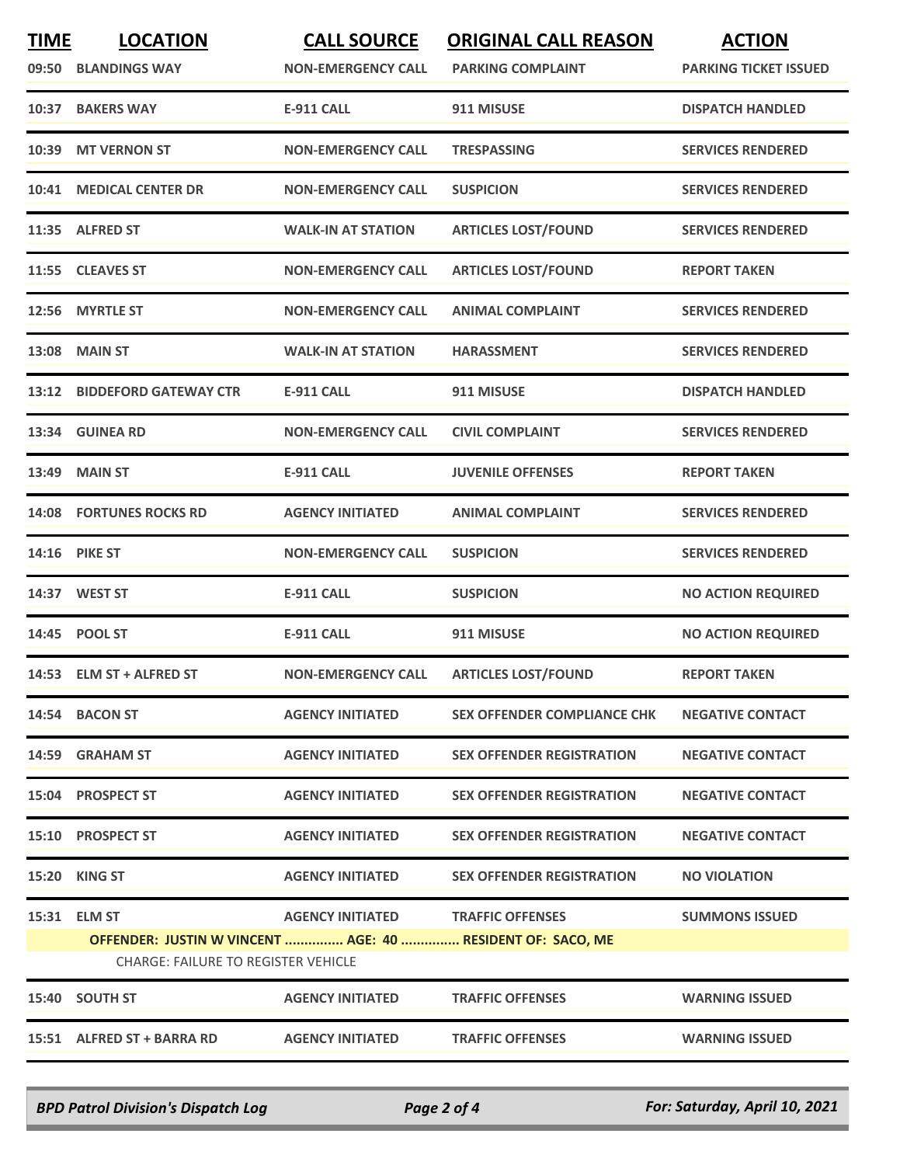| <b>TIME</b><br>09:50 | <b>LOCATION</b><br><b>BLANDINGS WAY</b>                                                                           | <b>CALL SOURCE</b><br><b>NON-EMERGENCY CALL</b> | <b>ORIGINAL CALL REASON</b><br><b>PARKING COMPLAINT</b> | <b>ACTION</b><br><b>PARKING TICKET ISSUED</b> |
|----------------------|-------------------------------------------------------------------------------------------------------------------|-------------------------------------------------|---------------------------------------------------------|-----------------------------------------------|
| 10:37                | <b>BAKERS WAY</b>                                                                                                 | <b>E-911 CALL</b>                               | 911 MISUSE                                              | <b>DISPATCH HANDLED</b>                       |
| 10:39                | <b>MT VERNON ST</b>                                                                                               | <b>NON-EMERGENCY CALL</b>                       | <b>TRESPASSING</b>                                      | <b>SERVICES RENDERED</b>                      |
| 10:41                | <b>MEDICAL CENTER DR</b>                                                                                          | <b>NON-EMERGENCY CALL</b>                       | <b>SUSPICION</b>                                        | <b>SERVICES RENDERED</b>                      |
|                      | 11:35 ALFRED ST                                                                                                   | <b>WALK-IN AT STATION</b>                       | <b>ARTICLES LOST/FOUND</b>                              | <b>SERVICES RENDERED</b>                      |
|                      | 11:55 CLEAVES ST                                                                                                  | <b>NON-EMERGENCY CALL</b>                       | <b>ARTICLES LOST/FOUND</b>                              | <b>REPORT TAKEN</b>                           |
| 12:56                | <b>MYRTLE ST</b>                                                                                                  | <b>NON-EMERGENCY CALL</b>                       | <b>ANIMAL COMPLAINT</b>                                 | <b>SERVICES RENDERED</b>                      |
|                      | <b>13:08 MAIN ST</b>                                                                                              | <b>WALK-IN AT STATION</b>                       | <b>HARASSMENT</b>                                       | <b>SERVICES RENDERED</b>                      |
|                      | 13:12 BIDDEFORD GATEWAY CTR                                                                                       | <b>E-911 CALL</b>                               | 911 MISUSE                                              | <b>DISPATCH HANDLED</b>                       |
|                      | 13:34 GUINEA RD                                                                                                   | <b>NON-EMERGENCY CALL</b>                       | <b>CIVIL COMPLAINT</b>                                  | <b>SERVICES RENDERED</b>                      |
|                      | 13:49 MAIN ST                                                                                                     | <b>E-911 CALL</b>                               | <b>JUVENILE OFFENSES</b>                                | <b>REPORT TAKEN</b>                           |
|                      | <b>14:08 FORTUNES ROCKS RD</b>                                                                                    | <b>AGENCY INITIATED</b>                         | <b>ANIMAL COMPLAINT</b>                                 | <b>SERVICES RENDERED</b>                      |
| 14:16                | <b>PIKE ST</b>                                                                                                    | <b>NON-EMERGENCY CALL</b>                       | <b>SUSPICION</b>                                        | <b>SERVICES RENDERED</b>                      |
|                      | 14:37 WEST ST                                                                                                     | <b>E-911 CALL</b>                               | <b>SUSPICION</b>                                        | <b>NO ACTION REQUIRED</b>                     |
|                      | 14:45 POOL ST                                                                                                     | <b>E-911 CALL</b>                               | 911 MISUSE                                              | <b>NO ACTION REQUIRED</b>                     |
|                      | 14:53 ELM ST + ALFRED ST                                                                                          | <b>NON-EMERGENCY CALL</b>                       | <b>ARTICLES LOST/FOUND</b>                              | <b>REPORT TAKEN</b>                           |
|                      | 14:54 BACON ST                                                                                                    | <b>AGENCY INITIATED</b>                         | <b>SEX OFFENDER COMPLIANCE CHK</b>                      | <b>NEGATIVE CONTACT</b>                       |
|                      | 14:59 GRAHAM ST                                                                                                   | <b>AGENCY INITIATED</b>                         | <b>SEX OFFENDER REGISTRATION</b>                        | <b>NEGATIVE CONTACT</b>                       |
| 15:04                | <b>PROSPECT ST</b>                                                                                                | <b>AGENCY INITIATED</b>                         | <b>SEX OFFENDER REGISTRATION</b>                        | <b>NEGATIVE CONTACT</b>                       |
|                      | 15:10 PROSPECT ST                                                                                                 | <b>AGENCY INITIATED</b>                         | <b>SEX OFFENDER REGISTRATION</b>                        | <b>NEGATIVE CONTACT</b>                       |
|                      | <b>15:20 KING ST</b>                                                                                              | <b>AGENCY INITIATED</b>                         | <b>SEX OFFENDER REGISTRATION</b>                        | <b>NO VIOLATION</b>                           |
|                      | 15:31 ELM ST<br>OFFENDER: JUSTIN W VINCENT  AGE: 40  RESIDENT OF: SACO, ME<br>CHARGE: FAILURE TO REGISTER VEHICLE | <b>AGENCY INITIATED</b>                         | <b>TRAFFIC OFFENSES</b>                                 | <b>SUMMONS ISSUED</b>                         |
|                      | 15:40 SOUTH ST                                                                                                    | <b>AGENCY INITIATED</b>                         | <b>TRAFFIC OFFENSES</b>                                 | <b>WARNING ISSUED</b>                         |
|                      | 15:51 ALFRED ST + BARRA RD                                                                                        | <b>AGENCY INITIATED</b>                         | <b>TRAFFIC OFFENSES</b>                                 | <b>WARNING ISSUED</b>                         |

*BPD Patrol Division's Dispatch Log Page 2 of 4 For: Saturday, April 10, 2021*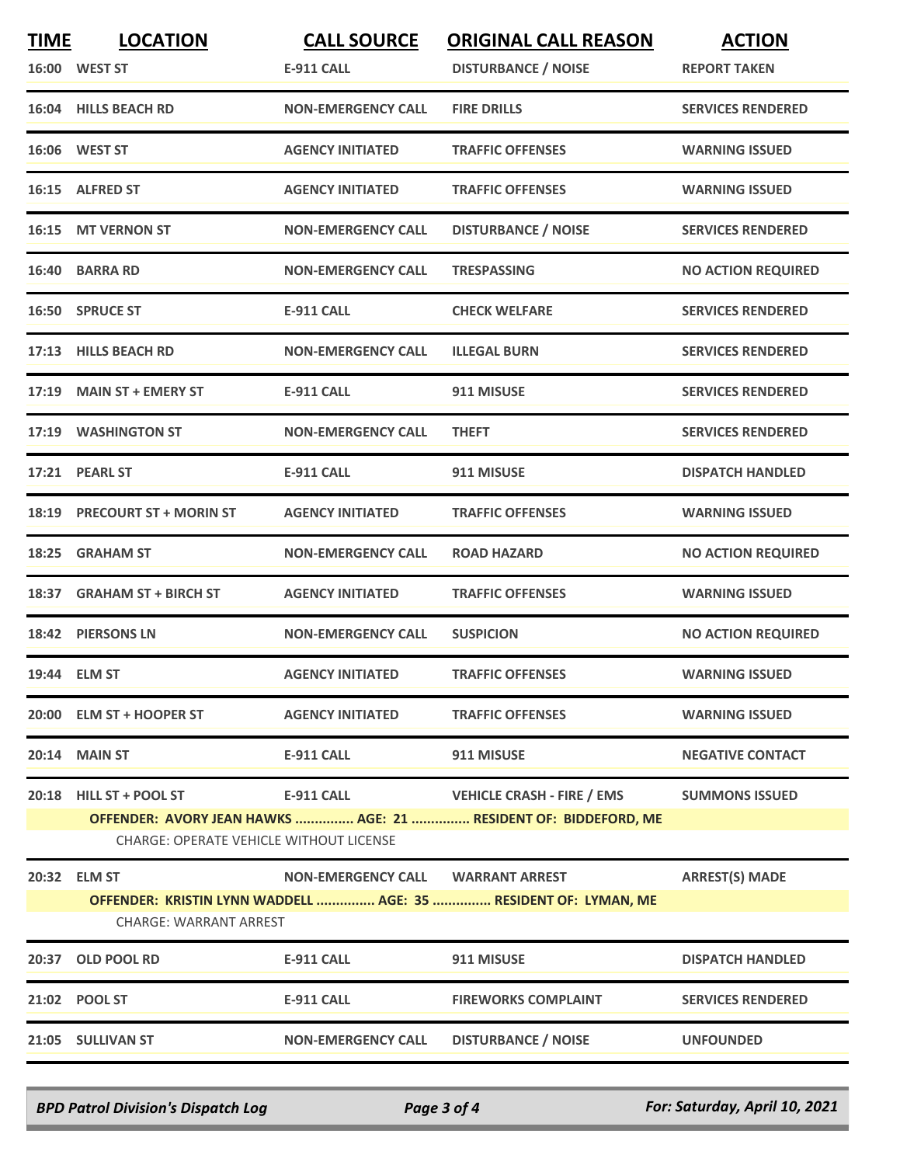| <b>TIME</b> | <b>LOCATION</b><br>16:00 WEST ST                                           | <b>CALL SOURCE</b><br><b>E-911 CALL</b> | <b>ORIGINAL CALL REASON</b><br><b>DISTURBANCE / NOISE</b>                                            | <b>ACTION</b><br><b>REPORT TAKEN</b> |
|-------------|----------------------------------------------------------------------------|-----------------------------------------|------------------------------------------------------------------------------------------------------|--------------------------------------|
|             | 16:04 HILLS BEACH RD                                                       | <b>NON-EMERGENCY CALL</b>               | <b>FIRE DRILLS</b>                                                                                   | <b>SERVICES RENDERED</b>             |
|             | 16:06 WEST ST                                                              | <b>AGENCY INITIATED</b>                 | <b>TRAFFIC OFFENSES</b>                                                                              | <b>WARNING ISSUED</b>                |
|             | 16:15 ALFRED ST                                                            | <b>AGENCY INITIATED</b>                 | <b>TRAFFIC OFFENSES</b>                                                                              | <b>WARNING ISSUED</b>                |
|             | 16:15 MT VERNON ST                                                         | <b>NON-EMERGENCY CALL</b>               | <b>DISTURBANCE / NOISE</b>                                                                           | <b>SERVICES RENDERED</b>             |
| 16:40       | <b>BARRA RD</b>                                                            | <b>NON-EMERGENCY CALL</b>               | <b>TRESPASSING</b>                                                                                   | <b>NO ACTION REQUIRED</b>            |
|             | 16:50 SPRUCE ST                                                            | <b>E-911 CALL</b>                       | <b>CHECK WELFARE</b>                                                                                 | <b>SERVICES RENDERED</b>             |
|             | 17:13 HILLS BEACH RD                                                       | <b>NON-EMERGENCY CALL</b>               | <b>ILLEGAL BURN</b>                                                                                  | <b>SERVICES RENDERED</b>             |
|             | 17:19 MAIN ST + EMERY ST                                                   | <b>E-911 CALL</b>                       | 911 MISUSE                                                                                           | <b>SERVICES RENDERED</b>             |
|             | 17:19 WASHINGTON ST                                                        | <b>NON-EMERGENCY CALL</b>               | <b>THEFT</b>                                                                                         | <b>SERVICES RENDERED</b>             |
|             | 17:21 PEARL ST                                                             | <b>E-911 CALL</b>                       | 911 MISUSE                                                                                           | <b>DISPATCH HANDLED</b>              |
|             | 18:19 PRECOURT ST + MORIN ST                                               | <b>AGENCY INITIATED</b>                 | <b>TRAFFIC OFFENSES</b>                                                                              | <b>WARNING ISSUED</b>                |
| 18:25       | <b>GRAHAM ST</b>                                                           | <b>NON-EMERGENCY CALL</b>               | <b>ROAD HAZARD</b>                                                                                   | <b>NO ACTION REQUIRED</b>            |
| 18:37       | <b>GRAHAM ST + BIRCH ST</b>                                                | <b>AGENCY INITIATED</b>                 | <b>TRAFFIC OFFENSES</b>                                                                              | <b>WARNING ISSUED</b>                |
|             | 18:42 PIERSONS LN                                                          | <b>NON-EMERGENCY CALL</b>               | <b>SUSPICION</b>                                                                                     | <b>NO ACTION REQUIRED</b>            |
|             | 19:44 ELM ST                                                               | <b>AGENCY INITIATED</b>                 | <b>TRAFFIC OFFENSES</b>                                                                              | <b>WARNING ISSUED</b>                |
|             | 20:00 ELM ST + HOOPER ST                                                   | <b>AGENCY INITIATED</b>                 | <b>TRAFFIC OFFENSES</b>                                                                              | <b>WARNING ISSUED</b>                |
|             | <b>20:14 MAIN ST</b>                                                       | <b>E-911 CALL</b>                       | 911 MISUSE                                                                                           | <b>NEGATIVE CONTACT</b>              |
| 20:18       | <b>HILL ST + POOL ST</b><br><b>CHARGE: OPERATE VEHICLE WITHOUT LICENSE</b> | <b>E-911 CALL</b>                       | <b>VEHICLE CRASH - FIRE / EMS</b><br>OFFENDER: AVORY JEAN HAWKS  AGE: 21  RESIDENT OF: BIDDEFORD, ME | <b>SUMMONS ISSUED</b>                |
|             | 20:32 ELM ST                                                               | NON-EMERGENCY CALL WARRANT ARREST       |                                                                                                      | <b>ARREST(S) MADE</b>                |
|             | CHARGE: WARRANT ARREST                                                     |                                         | OFFENDER: KRISTIN LYNN WADDELL  AGE: 35  RESIDENT OF: LYMAN, ME                                      |                                      |
|             | 20:37 OLD POOL RD                                                          | <b>E-911 CALL</b>                       | 911 MISUSE                                                                                           | <b>DISPATCH HANDLED</b>              |
|             | 21:02 POOL ST                                                              | <b>E-911 CALL</b>                       | <b>FIREWORKS COMPLAINT</b>                                                                           | <b>SERVICES RENDERED</b>             |
|             | 21:05 SULLIVAN ST                                                          | <b>NON-EMERGENCY CALL</b>               | <b>DISTURBANCE / NOISE</b>                                                                           | <b>UNFOUNDED</b>                     |

*BPD Patrol Division's Dispatch Log Page 3 of 4 For: Saturday, April 10, 2021*